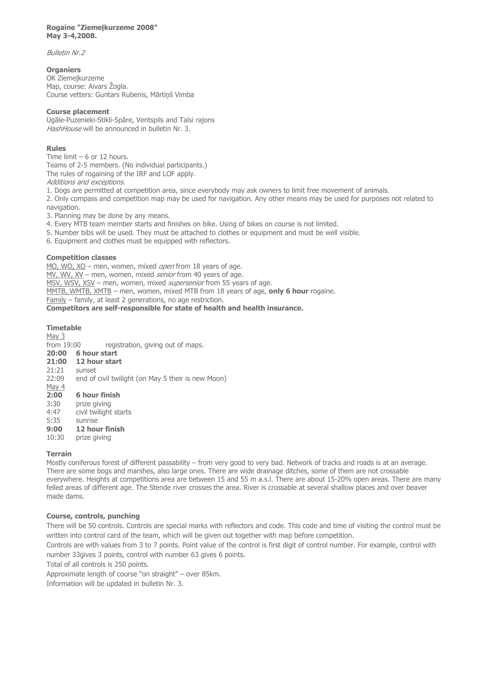#### **Rogaine "Ziemeļkurzeme 2008" May 3-4,2008.**

Bulletin Nr.2

### **Organiers**

OK Ziemeļkurzeme Map, course: Aivars Žogla. Course vetters: Guntars Rubenis, Mārtiņš Vimba

### **Course placement**

Ugāle-Puzenieki-Stikli-Spāre, Ventspils and Talsi rajons HashHouse will be announced in bulletin Nr. 3.

# **Rules**

Time limit – 6 or 12 hours. Teams of 2-5 members. (No individual participants.) The rules of rogaining of the IRF and LOF apply. Additions and exceptions.

1. Dogs are permitted at competition area, since everybody may ask owners to limit free movement of animals.

2. Only compass and competition map may be used for navigation. Any other means may be used for purposes not related to navigation.

3. Planning may be done by any means.

- 4. Every MTB team member starts and finishes on bike. Using of bikes on course is not limited.
- 5. Number bibs will be used. They must be attached to clothes or equipment and must be well visible.
- 6. Equipment and clothes must be equipped with reflectors.

# **Competition classes**

MO, WO, XO – men, women, mixed open from 18 years of age. MV, WV, XV – men, women, mixed *senior* from 40 years of age. MSV, WSV, XSV – men, women, mixed *supersenior* from 55 years of age. MMTB, WMTB, XMTB – men, women, mixed MTB from 18 years of age, **only 6 hour** rogaine. Family – family, at least 2 generations, no age restriction. **Competitors are self-responsible for state of health and health insurance.**

# **Timetable**

 $\frac{May 3}{from 19:00}$ registration, giving out of maps. **20:00 6 hour start 21:00 12 hour start** 21:21 sunset 22:09 end of civil twilight (on May 5 their is new Moon) May 4 **2:00 6 hour finish** 3:30 prize giving 4:47 civil twilight starts 5:35 sunrise<br>**9:00 12 hours 9:00 12 hour finish**<br>10:30 prize giving

prize giving

# **Terrain**

Mostly coniferous forest of different passability – from very good to very bad. Network of tracks and roads is at an average. There are some bogs and marshes, also large ones. There are wide drainage ditches, some of them are not crossable everywhere. Heights at competitions area are between 15 and 55 m a.s.l. There are about 15-20% open areas. There are many felled areas of different age. The Stende river crosses the area. River is crossable at several shallow places and over beaver made dams.

# **Course, controls, punching**

There will be 50 controls. Controls are special marks with reflectors and code. This code and time of visiting the control must be written into control card of the team, which will be given out together with map before competition.

Controls are with values from 3 to 7 points. Point value of the control is first digit of control number. For example, control with number 33gives 3 points, control with number 63 gives 6 points.

Total of all controls is 250 points.

Approximate length of course "on straight" – over 85km.

Information will be updated in bulletin Nr. 3.